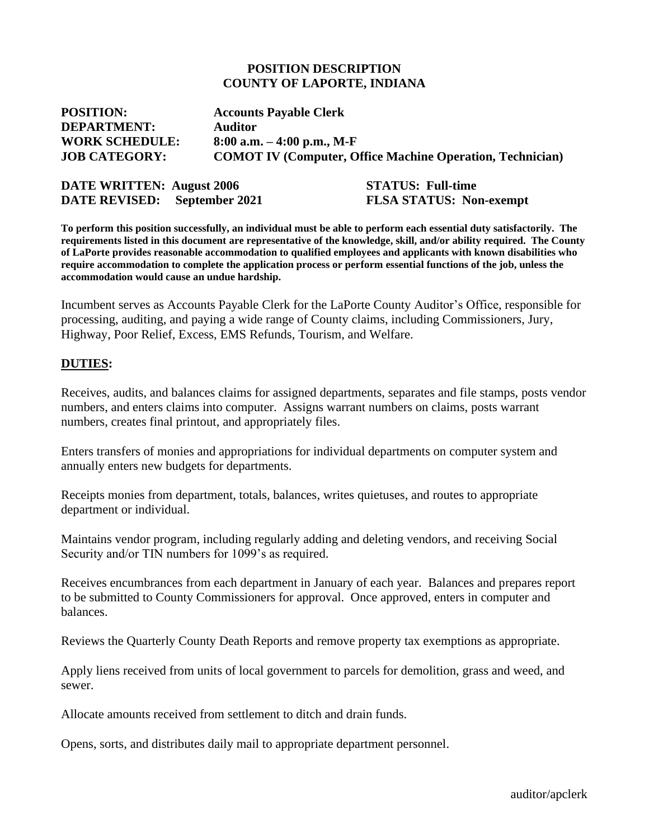#### **POSITION DESCRIPTION COUNTY OF LAPORTE, INDIANA**

| <b>POSITION:</b>      | <b>Accounts Payable Clerk</b>                                    |
|-----------------------|------------------------------------------------------------------|
| <b>DEPARTMENT:</b>    | <b>Auditor</b>                                                   |
| <b>WORK SCHEDULE:</b> | 8:00 a.m. $-4:00$ p.m., M-F                                      |
| <b>JOB CATEGORY:</b>  | <b>COMOT IV (Computer, Office Machine Operation, Technician)</b> |
|                       |                                                                  |

| <b>DATE WRITTEN: August 2006</b>    |  |
|-------------------------------------|--|
| <b>DATE REVISED:</b> September 2021 |  |

**STATUS: Full-time FLSA STATUS: Non-exempt** 

**To perform this position successfully, an individual must be able to perform each essential duty satisfactorily. The requirements listed in this document are representative of the knowledge, skill, and/or ability required. The County of LaPorte provides reasonable accommodation to qualified employees and applicants with known disabilities who require accommodation to complete the application process or perform essential functions of the job, unless the accommodation would cause an undue hardship.**

Incumbent serves as Accounts Payable Clerk for the LaPorte County Auditor's Office, responsible for processing, auditing, and paying a wide range of County claims, including Commissioners, Jury, Highway, Poor Relief, Excess, EMS Refunds, Tourism, and Welfare.

#### **DUTIES:**

Receives, audits, and balances claims for assigned departments, separates and file stamps, posts vendor numbers, and enters claims into computer. Assigns warrant numbers on claims, posts warrant numbers, creates final printout, and appropriately files.

Enters transfers of monies and appropriations for individual departments on computer system and annually enters new budgets for departments.

Receipts monies from department, totals, balances, writes quietuses, and routes to appropriate department or individual.

Maintains vendor program, including regularly adding and deleting vendors, and receiving Social Security and/or TIN numbers for 1099's as required.

Receives encumbrances from each department in January of each year. Balances and prepares report to be submitted to County Commissioners for approval. Once approved, enters in computer and balances.

Reviews the Quarterly County Death Reports and remove property tax exemptions as appropriate.

Apply liens received from units of local government to parcels for demolition, grass and weed, and sewer.

Allocate amounts received from settlement to ditch and drain funds.

Opens, sorts, and distributes daily mail to appropriate department personnel.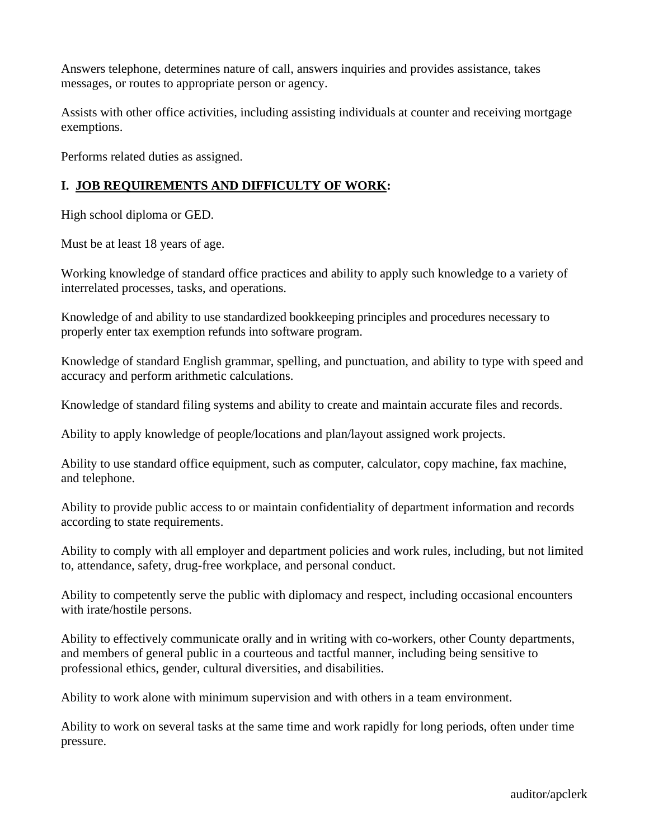Answers telephone, determines nature of call, answers inquiries and provides assistance, takes messages, or routes to appropriate person or agency.

Assists with other office activities, including assisting individuals at counter and receiving mortgage exemptions.

Performs related duties as assigned.

## **I. JOB REQUIREMENTS AND DIFFICULTY OF WORK:**

High school diploma or GED.

Must be at least 18 years of age.

Working knowledge of standard office practices and ability to apply such knowledge to a variety of interrelated processes, tasks, and operations.

Knowledge of and ability to use standardized bookkeeping principles and procedures necessary to properly enter tax exemption refunds into software program.

Knowledge of standard English grammar, spelling, and punctuation, and ability to type with speed and accuracy and perform arithmetic calculations.

Knowledge of standard filing systems and ability to create and maintain accurate files and records.

Ability to apply knowledge of people/locations and plan/layout assigned work projects.

Ability to use standard office equipment, such as computer, calculator, copy machine, fax machine, and telephone.

Ability to provide public access to or maintain confidentiality of department information and records according to state requirements.

Ability to comply with all employer and department policies and work rules, including, but not limited to, attendance, safety, drug-free workplace, and personal conduct.

Ability to competently serve the public with diplomacy and respect, including occasional encounters with irate/hostile persons.

Ability to effectively communicate orally and in writing with co-workers, other County departments, and members of general public in a courteous and tactful manner, including being sensitive to professional ethics, gender, cultural diversities, and disabilities.

Ability to work alone with minimum supervision and with others in a team environment.

Ability to work on several tasks at the same time and work rapidly for long periods, often under time pressure.